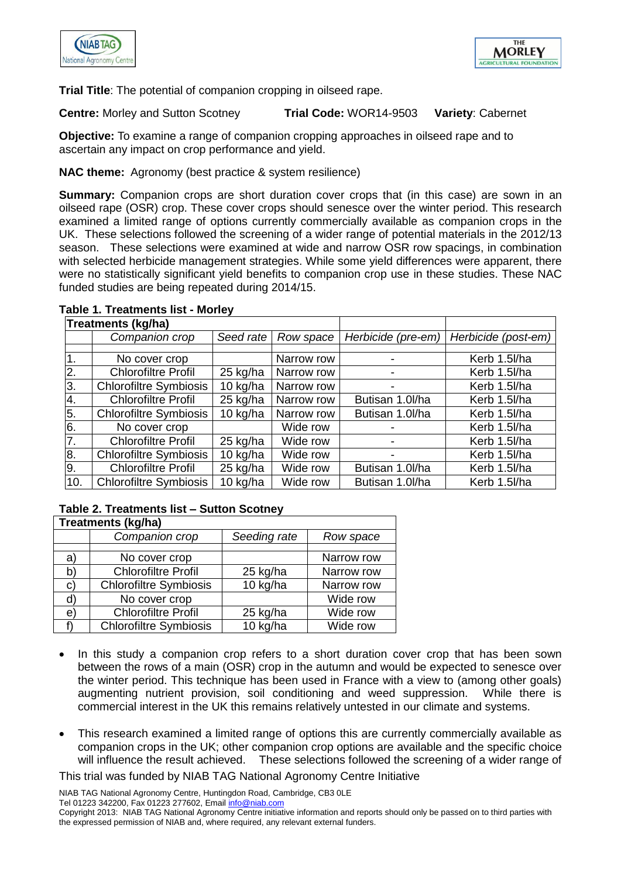



**Trial Title**: The potential of companion cropping in oilseed rape.

**Centre:** Morley and Sutton Scotney **Trial Code:** WOR14-9503 **Variety**: Cabernet

**Objective:** To examine a range of companion cropping approaches in oilseed rape and to ascertain any impact on crop performance and yield.

## **NAC theme:** Agronomy (best practice & system resilience)

**Summary:** Companion crops are short duration cover crops that (in this case) are sown in an oilseed rape (OSR) crop. These cover crops should senesce over the winter period. This research examined a limited range of options currently commercially available as companion crops in the UK. These selections followed the screening of a wider range of potential materials in the 2012/13 season. These selections were examined at wide and narrow OSR row spacings, in combination with selected herbicide management strategies. While some yield differences were apparent, there were no statistically significant yield benefits to companion crop use in these studies. These NAC funded studies are being repeated during 2014/15.

## **Treatments (kg/ha)** *Companion crop Seed rate Row space Herbicide (pre-em) Herbicide (post-em)* 1. No cover crop  $\vert$  Narrow row  $\vert$  - Kerb 1.5l/ha 2. Chlorofiltre Profil 25 kg/ha Narrow row | Fig. 2. Kerb 1.5l/ha 3. Chlorofiltre Symbiosis | 10 kg/ha | Narrow row | The State Charles Kerb 1.5l/ha 4. Chlorofiltre Profil | 25 kg/ha | Narrow row | Butisan 1.0l/ha | Kerb 1.5l/ha 5. Chlorofiltre Symbiosis | 10 kg/ha | Narrow row | Butisan 1.0l/ha | Kerb 1.5l/ha 6. No cover crop Wide row Fig. 2016 No cover crop 7. Chlorofiltre Profil 25 kg/ha Wide row | Chlorofiltre Rerb 1.5l/ha 8. Chlorofiltre Symbiosis | 10 kg/ha | Wide row | The Chang Harb 1.5l/ha 9. Chlorofiltre Profil 25 kg/ha | Wide row | Butisan 1.0l/ha | Kerb 1.5l/ha 10. Chlorofiltre Symbiosis | 10 kg/ha | Wide row | Butisan 1.0l/ha | Kerb 1.5l/ha

### **Table 1. Treatments list - Morley**

#### **Table 2. Treatments list – Sutton Scotney Treatments (kg/ha)**

| Treatments (kg/na) |                               |              |            |  |
|--------------------|-------------------------------|--------------|------------|--|
|                    | Companion crop                | Seeding rate | Row space  |  |
|                    |                               |              |            |  |
| a)                 | No cover crop                 |              | Narrow row |  |
| b)                 | <b>Chlorofiltre Profil</b>    | 25 kg/ha     | Narrow row |  |
| C)                 | <b>Chlorofiltre Symbiosis</b> | 10 kg/ha     | Narrow row |  |
| d)                 | No cover crop                 |              | Wide row   |  |
| e)                 | <b>Chlorofiltre Profil</b>    | 25 kg/ha     | Wide row   |  |
|                    | <b>Chlorofiltre Symbiosis</b> | 10 kg/ha     | Wide row   |  |

- In this study a companion crop refers to a short duration cover crop that has been sown between the rows of a main (OSR) crop in the autumn and would be expected to senesce over the winter period. This technique has been used in France with a view to (among other goals) augmenting nutrient provision, soil conditioning and weed suppression. While there is commercial interest in the UK this remains relatively untested in our climate and systems.
- This research examined a limited range of options this are currently commercially available as companion crops in the UK; other companion crop options are available and the specific choice will influence the result achieved. These selections followed the screening of a wider range of

This trial was funded by NIAB TAG National Agronomy Centre Initiative

NIAB TAG National Agronomy Centre, Huntingdon Road, Cambridge, CB3 0LE Tel 01223 342200, Fax 01223 277602, Email info@niab.com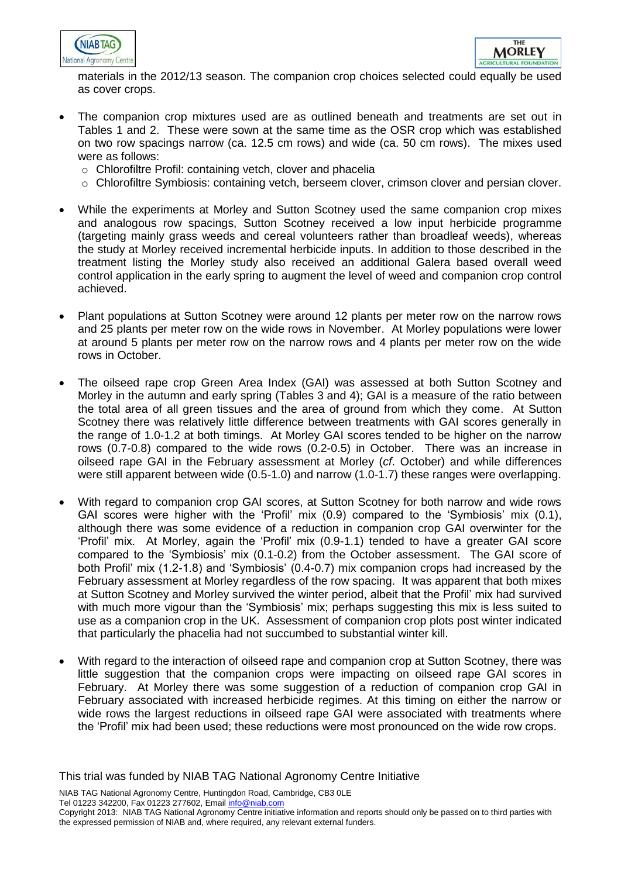



materials in the 2012/13 season. The companion crop choices selected could equally be used as cover crops.

- The companion crop mixtures used are as outlined beneath and treatments are set out in Tables 1 and 2. These were sown at the same time as the OSR crop which was established on two row spacings narrow (ca. 12.5 cm rows) and wide (ca. 50 cm rows). The mixes used were as follows:
	- o Chlorofiltre Profil: containing vetch, clover and phacelia
	- $\circ$  Chlorofiltre Symbiosis: containing vetch, berseem clover, crimson clover and persian clover.
- While the experiments at Morley and Sutton Scotney used the same companion crop mixes and analogous row spacings, Sutton Scotney received a low input herbicide programme (targeting mainly grass weeds and cereal volunteers rather than broadleaf weeds), whereas the study at Morley received incremental herbicide inputs. In addition to those described in the treatment listing the Morley study also received an additional Galera based overall weed control application in the early spring to augment the level of weed and companion crop control achieved.
- Plant populations at Sutton Scotney were around 12 plants per meter row on the narrow rows and 25 plants per meter row on the wide rows in November. At Morley populations were lower at around 5 plants per meter row on the narrow rows and 4 plants per meter row on the wide rows in October.
- The oilseed rape crop Green Area Index (GAI) was assessed at both Sutton Scotney and Morley in the autumn and early spring (Tables 3 and 4); GAI is a measure of the ratio between the total area of all green tissues and the area of ground from which they come. At Sutton Scotney there was relatively little difference between treatments with GAI scores generally in the range of 1.0-1.2 at both timings. At Morley GAI scores tended to be higher on the narrow rows (0.7-0.8) compared to the wide rows (0.2-0.5) in October. There was an increase in oilseed rape GAI in the February assessment at Morley (*cf*. October) and while differences were still apparent between wide (0.5-1.0) and narrow (1.0-1.7) these ranges were overlapping.
- With regard to companion crop GAI scores, at Sutton Scotney for both narrow and wide rows GAI scores were higher with the 'Profil' mix (0.9) compared to the 'Symbiosis' mix (0.1), although there was some evidence of a reduction in companion crop GAI overwinter for the 'Profil' mix. At Morley, again the 'Profil' mix (0.9-1.1) tended to have a greater GAI score compared to the 'Symbiosis' mix (0.1-0.2) from the October assessment. The GAI score of both Profil' mix (1.2-1.8) and 'Symbiosis' (0.4-0.7) mix companion crops had increased by the February assessment at Morley regardless of the row spacing. It was apparent that both mixes at Sutton Scotney and Morley survived the winter period, albeit that the Profil' mix had survived with much more vigour than the 'Symbiosis' mix; perhaps suggesting this mix is less suited to use as a companion crop in the UK. Assessment of companion crop plots post winter indicated that particularly the phacelia had not succumbed to substantial winter kill.
- With regard to the interaction of oilseed rape and companion crop at Sutton Scotney, there was little suggestion that the companion crops were impacting on oilseed rape GAI scores in February. At Morley there was some suggestion of a reduction of companion crop GAI in February associated with increased herbicide regimes. At this timing on either the narrow or wide rows the largest reductions in oilseed rape GAI were associated with treatments where the 'Profil' mix had been used; these reductions were most pronounced on the wide row crops.

This trial was funded by NIAB TAG National Agronomy Centre Initiative

NIAB TAG National Agronomy Centre, Huntingdon Road, Cambridge, CB3 0LE Tel 01223 342200, Fax 01223 277602, Email info@niab.com

Copyright 2013: NIAB TAG National Agronomy Centre initiative information and reports should only be passed on to third parties with the expressed permission of NIAB and, where required, any relevant external funders.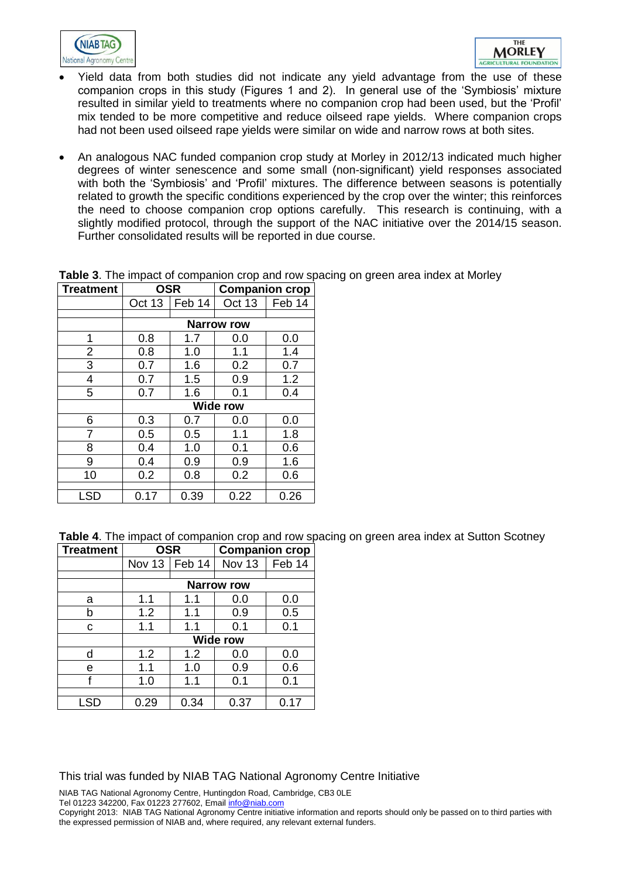



- Yield data from both studies did not indicate any yield advantage from the use of these companion crops in this study (Figures 1 and 2). In general use of the 'Symbiosis' mixture resulted in similar yield to treatments where no companion crop had been used, but the 'Profil' mix tended to be more competitive and reduce oilseed rape yields. Where companion crops had not been used oilseed rape yields were similar on wide and narrow rows at both sites.
- An analogous NAC funded companion crop study at Morley in 2012/13 indicated much higher degrees of winter senescence and some small (non-significant) yield responses associated with both the 'Symbiosis' and 'Profil' mixtures. The difference between seasons is potentially related to growth the specific conditions experienced by the crop over the winter; this reinforces the need to choose companion crop options carefully. This research is continuing, with a slightly modified protocol, through the support of the NAC initiative over the 2014/15 season. Further consolidated results will be reported in due course.

|     | Oct 13          | Feb 14 | Oct 13            | Feb 14 |
|-----|-----------------|--------|-------------------|--------|
|     |                 |        |                   |        |
|     |                 |        | <b>Narrow row</b> |        |
| 1   | 0.8             | 1.7    | 0.0               | 0.0    |
| 2   | 0.8             | 1.0    | 1.1               | 1.4    |
| 3   | 0.7             | 1.6    | 0.2               | 0.7    |
| 4   | 0.7             | 1.5    | 0.9               | 1.2    |
| 5   | 0.7             | 1.6    | 0.1               | 0.4    |
|     | <b>Wide row</b> |        |                   |        |
| 6   | 0.3             | 0.7    | 0.0               | 0.0    |
| 7   | 0.5             | 0.5    | 1.1               | 1.8    |
| 8   | 0.4             | 1.0    | 0.1               | 0.6    |
| 9   | 0.4             | 0.9    | 0.9               | 1.6    |
| 10  | 0.2             | 0.8    | 0.2               | 0.6    |
|     |                 |        |                   |        |
| LSD | 0.17            | 0.39   | 0.22              | 0.26   |

**Table 3**. The impact of companion crop and row spacing on green area index at Morley **Treatment OSR Companion crop**

**Table 4**. The impact of companion crop and row spacing on green area index at Sutton Scotney

| <b>Treatment</b> | <b>OSR</b>      |      | <b>Companion crop</b> |      |
|------------------|-----------------|------|-----------------------|------|
|                  | Nov 13   Feb 14 |      | Nov 13   Feb 14       |      |
|                  |                 |      |                       |      |
|                  |                 |      | <b>Narrow row</b>     |      |
| a                | 1.1             | 1.1  | 0.0                   | 0.0  |
| b                | 1.2             | 1.1  | 0.9                   | 0.5  |
| С                | 1.1             | 1.1  | 0.1                   | 0.1  |
|                  | <b>Wide row</b> |      |                       |      |
| d                | 1.2             | 1.2  | 0.0                   | 0.0  |
| е                | 1.1             | 1.0  | 0.9                   | 0.6  |
| f                | 1.0             | 1.1  | 0.1                   | 0.1  |
|                  |                 |      |                       |      |
| LSD              | 0.29            | 0.34 | 0.37                  | 0.17 |

This trial was funded by NIAB TAG National Agronomy Centre Initiative

NIAB TAG National Agronomy Centre, Huntingdon Road, Cambridge, CB3 0LE Tel 01223 342200, Fax 01223 277602, Email info@niab.com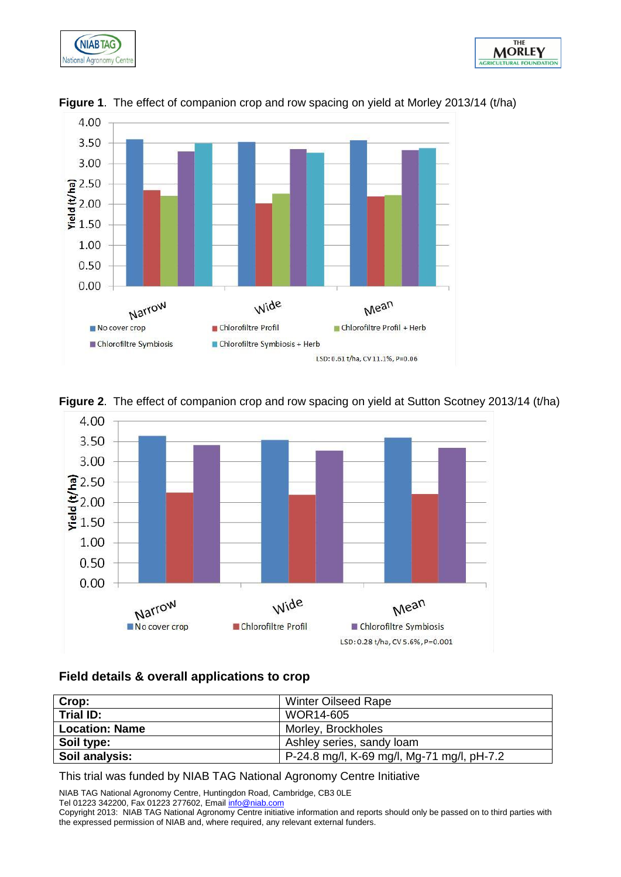









# **Figure 2**. The effect of companion crop and row spacing on yield at Sutton Scotney 2013/14 (t/ha)

### **Field details & overall applications to crop**

| Crop:                 | <b>Winter Oilseed Rape</b>                 |
|-----------------------|--------------------------------------------|
| Trial ID:             | WOR14-605                                  |
| <b>Location: Name</b> | Morley, Brockholes                         |
| Soil type:            | Ashley series, sandy loam                  |
| Soil analysis:        | P-24.8 mg/l, K-69 mg/l, Mg-71 mg/l, pH-7.2 |

This trial was funded by NIAB TAG National Agronomy Centre Initiative

NIAB TAG National Agronomy Centre, Huntingdon Road, Cambridge, CB3 0LE

Tel 01223 342200, Fax 01223 277602, Email info@niab.com